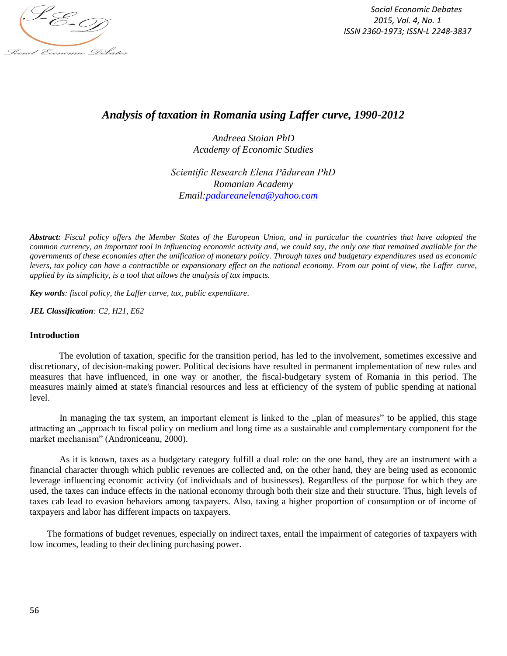

*Social Economic Debates 2015, Vol. 4, No. 1 ISSN 2360-1973; ISSN-L 2248-3837*

# *Analysis of taxation in Romania using Laffer curve, 1990-2012*

*Andreea Stoian PhD Academy of Economic Studies*

*Scientific Research Elena Pădurean PhD Romanian Academy Email:padureanelena@yahoo.com*

*Abstract: Fiscal policy offers the Member States of the European Union, and in particular the countries that have adopted the common currency, an important tool in influencing economic activity and, we could say, the only one that remained available for the governments of these economies after the unification of monetary policy. Through taxes and budgetary expenditures used as economic levers, tax policy can have a contractible or expansionary effect on the national economy. From our point of view, the Laffer curve, applied by its simplicity, is a tool that allows the analysis of tax impacts.* 

*Key words: fiscal policy, the Laffer curve, tax, public expenditure.*

*JEL Classification: C2, H21, E62*

#### **Introduction**

The evolution of taxation, specific for the transition period, has led to the involvement, sometimes excessive and discretionary, of decision-making power. Political decisions have resulted in permanent implementation of new rules and measures that have influenced, in one way or another, the fiscal-budgetary system of Romania in this period. The measures mainly aimed at state's financial resources and less at efficiency of the system of public spending at national level.

In managing the tax system, an important element is linked to the "plan of measures" to be applied, this stage attracting an , approach to fiscal policy on medium and long time as a sustainable and complementary component for the market mechanism" (Androniceanu, 2000).

As it is known, taxes as a budgetary category fulfill a dual role: on the one hand, they are an instrument with a financial character through which public revenues are collected and, on the other hand, they are being used as economic leverage influencing economic activity (of individuals and of businesses). Regardless of the purpose for which they are used, the taxes can induce effects in the national economy through both their size and their structure. Thus, high levels of taxes cab lead to evasion behaviors among taxpayers. Also, taxing a higher proportion of consumption or of income of taxpayers and labor has different impacts on taxpayers.

The formations of budget revenues, especially on indirect taxes, entail the impairment of categories of taxpayers with low incomes, leading to their declining purchasing power.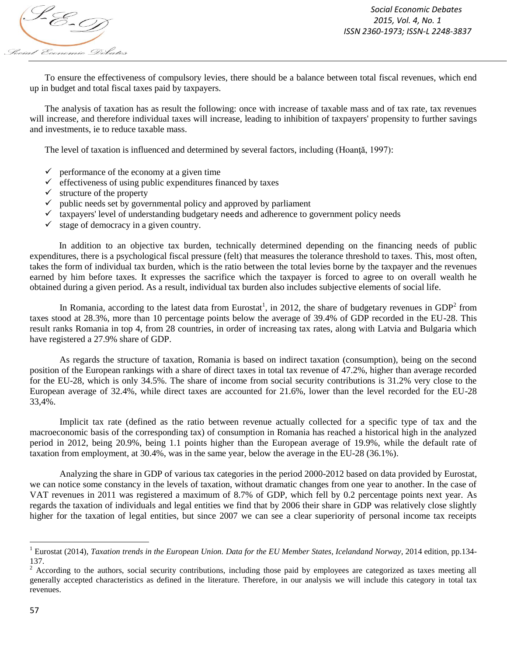

To ensure the effectiveness of compulsory levies, there should be a balance between total fiscal revenues, which end up in budget and total fiscal taxes paid by taxpayers.

The analysis of taxation has as result the following: once with increase of taxable mass and of tax rate, tax revenues will increase, and therefore individual taxes will increase, leading to inhibition of taxpayers' propensity to further savings and investments, ie to reduce taxable mass.

The level of taxation is influenced and determined by several factors, including (Hoanță, 1997):

- $\checkmark$  performance of the economy at a given time
- $\checkmark$  effectiveness of using public expenditures financed by taxes
- $\checkmark$  structure of the property
- $\checkmark$  public needs set by governmental policy and approved by parliament
- $\checkmark$  taxpayers' level of understanding budgetary needs and adherence to government policy needs
- $\checkmark$  stage of democracy in a given country.

In addition to an objective tax burden, technically determined depending on the financing needs of public expenditures, there is a psychological fiscal pressure (felt) that measures the tolerance threshold to taxes. This, most often, takes the form of individual tax burden, which is the ratio between the total levies borne by the taxpayer and the revenues earned by him before taxes. It expresses the sacrifice which the taxpayer is forced to agree to on overall wealth he obtained during a given period. As a result, individual tax burden also includes subjective elements of social life.

In Romania, according to the latest data from Eurostat<sup>1</sup>, in 2012, the share of budgetary revenues in GDP<sup>2</sup> from taxes stood at 28.3%, more than 10 percentage points below the average of 39.4% of GDP recorded in the EU-28. This result ranks Romania in top 4, from 28 countries, in order of increasing tax rates, along with Latvia and Bulgaria which have registered a 27.9% share of GDP.

As regards the structure of taxation, Romania is based on indirect taxation (consumption), being on the second position of the European rankings with a share of direct taxes in total tax revenue of 47.2%, higher than average recorded for the EU-28, which is only 34.5%. The share of income from social security contributions is 31.2% very close to the European average of 32.4%, while direct taxes are accounted for 21.6%, lower than the level recorded for the EU-28 33,4%.

Implicit tax rate (defined as the ratio between revenue actually collected for a specific type of tax and the macroeconomic basis of the corresponding tax) of consumption in Romania has reached a historical high in the analyzed period in 2012, being 20.9%, being 1.1 points higher than the European average of 19.9%, while the default rate of taxation from employment, at 30.4%, was in the same year, below the average in the EU-28 (36.1%).

Analyzing the share in GDP of various tax categories in the period 2000-2012 based on data provided by Eurostat, we can notice some constancy in the levels of taxation, without dramatic changes from one year to another. In the case of VAT revenues in 2011 was registered a maximum of 8.7% of GDP, which fell by 0.2 percentage points next year. As regards the taxation of individuals and legal entities we find that by 2006 their share in GDP was relatively close slightly higher for the taxation of legal entities, but since 2007 we can see a clear superiority of personal income tax receipts

 1 Eurostat (2014), *Taxation trends in the European Union. Data for the EU Member States, Icelandand Norway,* 2014 edition, pp.134- 137.

<sup>2</sup> According to the authors, social security contributions, including those paid by employees are categorized as taxes meeting all generally accepted characteristics as defined in the literature. Therefore, in our analysis we will include this category in total tax revenues.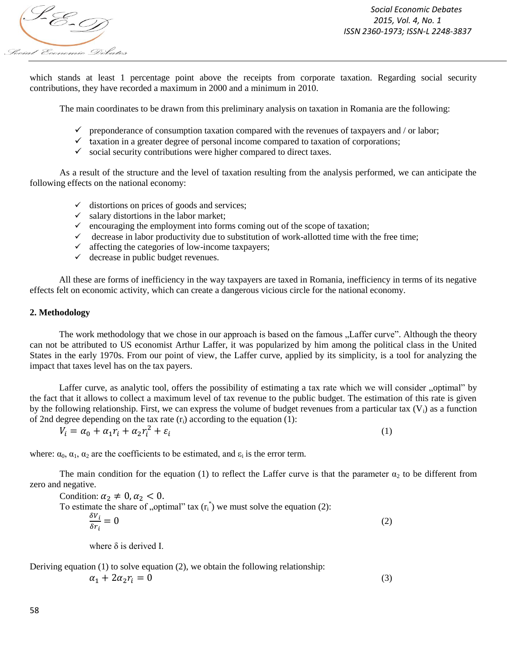

*Social Economic Debates 2015, Vol. 4, No. 1 ISSN 2360-1973; ISSN-L 2248-3837*

(1)

which stands at least 1 percentage point above the receipts from corporate taxation. Regarding social security contributions, they have recorded a maximum in 2000 and a minimum in 2010.

The main coordinates to be drawn from this preliminary analysis on taxation in Romania are the following:

- $\checkmark$  preponderance of consumption taxation compared with the revenues of taxpayers and / or labor;
- $\checkmark$  taxation in a greater degree of personal income compared to taxation of corporations;
- $\checkmark$  social security contributions were higher compared to direct taxes.

As a result of the structure and the level of taxation resulting from the analysis performed, we can anticipate the following effects on the national economy:

- $\checkmark$  distortions on prices of goods and services;
- $\checkmark$  salary distortions in the labor market;
- $\checkmark$  encouraging the employment into forms coming out of the scope of taxation;
- $\checkmark$  decrease in labor productivity due to substitution of work-allotted time with the free time;
- $\checkmark$  affecting the categories of low-income taxpayers;
- $\checkmark$  decrease in public budget revenues.

All these are forms of inefficiency in the way taxpayers are taxed in Romania, inefficiency in terms of its negative effects felt on economic activity, which can create a dangerous vicious circle for the national economy.

#### **2. Methodology**

The work methodology that we chose in our approach is based on the famous "Laffer curve". Although the theory can not be attributed to US economist Arthur Laffer, it was popularized by him among the political class in the United States in the early 1970s. From our point of view, the Laffer curve, applied by its simplicity, is a tool for analyzing the impact that taxes level has on the tax payers.

Laffer curve, as analytic tool, offers the possibility of estimating a tax rate which we will consider "optimal" by the fact that it allows to collect a maximum level of tax revenue to the public budget. The estimation of this rate is given by the following relationship. First, we can express the volume of budget revenues from a particular tax  $(V_i)$  as a function of 2nd degree depending on the tax rate  $(r_i)$  according to the equation (1):

$$
V_i = \alpha_0 + \alpha_1 r_i + \alpha_2 r_i^2 + \varepsilon_i
$$

where:  $\alpha_0$ ,  $\alpha_1$ ,  $\alpha_2$  are the coefficients to be estimated, and  $\varepsilon_i$  is the error term.

The main condition for the equation (1) to reflect the Laffer curve is that the parameter  $\alpha_2$  to be different from zero and negative.

Condition: 
$$
\alpha_2 \neq 0
$$
,  $\alpha_2 < 0$ .  
To estimate the share of "optimal" tax (r<sub>i</sub>") we must solve the equation (2):  

$$
\frac{\delta v_i}{\delta r_i} = 0
$$
 (2)

where  $\delta$  is derived I.

Deriving equation  $(1)$  to solve equation  $(2)$ , we obtain the following relationship:

$$
\alpha_1 + 2\alpha_2 r_i = 0 \tag{3}
$$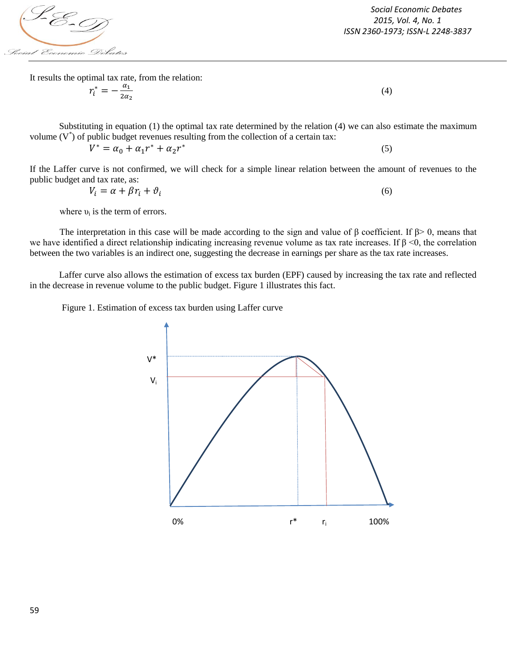

*Social Economic Debates 2015, Vol. 4, No. 1 ISSN 2360-1973; ISSN-L 2248-3837*

(4)

(5)

It results the optimal tax rate, from the relation:

$$
r_i^* = -\frac{\alpha_1}{2\alpha_2}
$$

Substituting in equation (1) the optimal tax rate determined by the relation (4) we can also estimate the maximum volume  $(V^*)$  of public budget revenues resulting from the collection of a certain tax:

 $V^* = \alpha_0 + \alpha_1 r^* + \alpha_2 r^*$ 

If the Laffer curve is not confirmed, we will check for a simple linear relation between the amount of revenues to the public budget and tax rate, as:

$$
V_i = \alpha + \beta r_i + \vartheta_i \tag{6}
$$

where  $v_i$  is the term of errors.

The interpretation in this case will be made according to the sign and value of  $\beta$  coefficient. If  $\beta$  > 0, means that we have identified a direct relationship indicating increasing revenue volume as tax rate increases. If  $\beta$  <0, the correlation between the two variables is an indirect one, suggesting the decrease in earnings per share as the tax rate increases.

Laffer curve also allows the estimation of excess tax burden (EPF) caused by increasing the tax rate and reflected in the decrease in revenue volume to the public budget. Figure 1 illustrates this fact.

Figure 1. Estimation of excess tax burden using Laffer curve

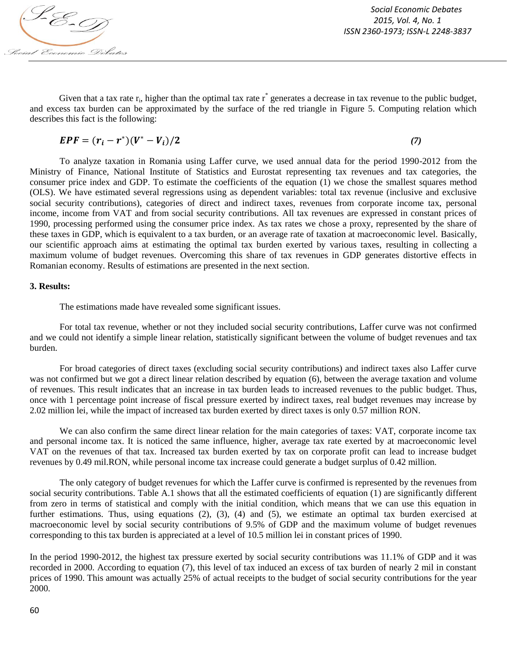

Given that a tax rate  $r_i$ , higher than the optimal tax rate  $r^*$  generates a decrease in tax revenue to the public budget, and excess tax burden can be approximated by the surface of the red triangle in Figure 5. Computing relation which describes this fact is the following:

$$
EPF = (r_i - r^*)(V^* - V_i)/2
$$
 (7)

To analyze taxation in Romania using Laffer curve, we used annual data for the period 1990-2012 from the Ministry of Finance, National Institute of Statistics and Eurostat representing tax revenues and tax categories, the consumer price index and GDP. To estimate the coefficients of the equation (1) we chose the smallest squares method (OLS). We have estimated several regressions using as dependent variables: total tax revenue (inclusive and exclusive social security contributions), categories of direct and indirect taxes, revenues from corporate income tax, personal income, income from VAT and from social security contributions. All tax revenues are expressed in constant prices of 1990, processing performed using the consumer price index. As tax rates we chose a proxy, represented by the share of these taxes in GDP, which is equivalent to a tax burden, or an average rate of taxation at macroeconomic level. Basically, our scientific approach aims at estimating the optimal tax burden exerted by various taxes, resulting in collecting a maximum volume of budget revenues. Overcoming this share of tax revenues in GDP generates distortive effects in Romanian economy. Results of estimations are presented in the next section.

#### **3. Results:**

The estimations made have revealed some significant issues.

For total tax revenue, whether or not they included social security contributions, Laffer curve was not confirmed and we could not identify a simple linear relation, statistically significant between the volume of budget revenues and tax burden.

For broad categories of direct taxes (excluding social security contributions) and indirect taxes also Laffer curve was not confirmed but we got a direct linear relation described by equation (6), between the average taxation and volume of revenues. This result indicates that an increase in tax burden leads to increased revenues to the public budget. Thus, once with 1 percentage point increase of fiscal pressure exerted by indirect taxes, real budget revenues may increase by 2.02 million lei, while the impact of increased tax burden exerted by direct taxes is only 0.57 million RON.

We can also confirm the same direct linear relation for the main categories of taxes: VAT, corporate income tax and personal income tax. It is noticed the same influence, higher, average tax rate exerted by at macroeconomic level VAT on the revenues of that tax. Increased tax burden exerted by tax on corporate profit can lead to increase budget revenues by 0.49 mil.RON, while personal income tax increase could generate a budget surplus of 0.42 million.

The only category of budget revenues for which the Laffer curve is confirmed is represented by the revenues from social security contributions. Table A.1 shows that all the estimated coefficients of equation (1) are significantly different from zero in terms of statistical and comply with the initial condition, which means that we can use this equation in further estimations. Thus, using equations (2), (3), (4) and (5), we estimate an optimal tax burden exercised at macroeconomic level by social security contributions of 9.5% of GDP and the maximum volume of budget revenues corresponding to this tax burden is appreciated at a level of 10.5 million lei in constant prices of 1990.

In the period 1990-2012, the highest tax pressure exerted by social security contributions was 11.1% of GDP and it was recorded in 2000. According to equation (7), this level of tax induced an excess of tax burden of nearly 2 mil in constant prices of 1990. This amount was actually 25% of actual receipts to the budget of social security contributions for the year 2000.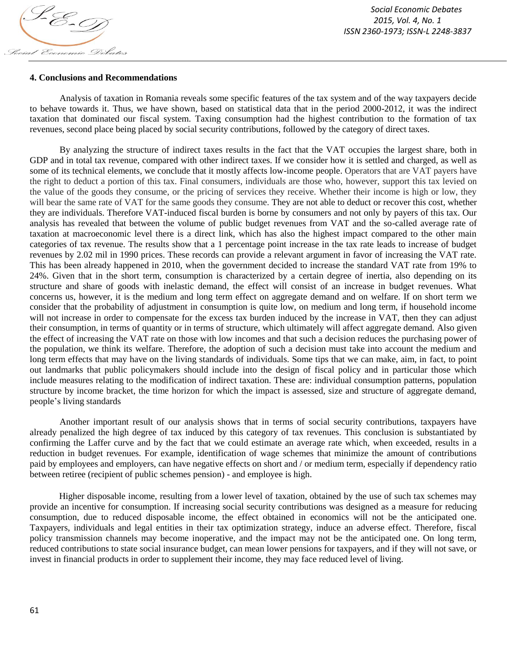

## **4. Conclusions and Recommendations**

Analysis of taxation in Romania reveals some specific features of the tax system and of the way taxpayers decide to behave towards it. Thus, we have shown, based on statistical data that in the period 2000-2012, it was the indirect taxation that dominated our fiscal system. Taxing consumption had the highest contribution to the formation of tax revenues, second place being placed by social security contributions, followed by the category of direct taxes.

By analyzing the structure of indirect taxes results in the fact that the VAT occupies the largest share, both in GDP and in total tax revenue, compared with other indirect taxes. If we consider how it is settled and charged, as well as some of its technical elements, we conclude that it mostly affects low-income people. Operators that are VAT payers have the right to deduct a portion of this tax. Final consumers, individuals are those who, however, support this tax levied on the value of the goods they consume, or the pricing of services they receive. Whether their income is high or low, they will bear the same rate of VAT for the same goods they consume. They are not able to deduct or recover this cost, whether they are individuals. Therefore VAT-induced fiscal burden is borne by consumers and not only by payers of this tax. Our analysis has revealed that between the volume of public budget revenues from VAT and the so-called average rate of taxation at macroeconomic level there is a direct link, which has also the highest impact compared to the other main categories of tax revenue. The results show that a 1 percentage point increase in the tax rate leads to increase of budget revenues by 2.02 mil in 1990 prices. These records can provide a relevant argument in favor of increasing the VAT rate. This has been already happened in 2010, when the government decided to increase the standard VAT rate from 19% to 24%. Given that in the short term, consumption is characterized by a certain degree of inertia, also depending on its structure and share of goods with inelastic demand, the effect will consist of an increase in budget revenues. What concerns us, however, it is the medium and long term effect on aggregate demand and on welfare. If on short term we consider that the probability of adjustment in consumption is quite low, on medium and long term, if household income will not increase in order to compensate for the excess tax burden induced by the increase in VAT, then they can adjust their consumption, in terms of quantity or in terms of structure, which ultimately will affect aggregate demand. Also given the effect of increasing the VAT rate on those with low incomes and that such a decision reduces the purchasing power of the population, we think its welfare. Therefore, the adoption of such a decision must take into account the medium and long term effects that may have on the living standards of individuals. Some tips that we can make, aim, in fact, to point out landmarks that public policymakers should include into the design of fiscal policy and in particular those which include measures relating to the modification of indirect taxation. These are: individual consumption patterns, population structure by income bracket, the time horizon for which the impact is assessed, size and structure of aggregate demand, people's living standards

Another important result of our analysis shows that in terms of social security contributions, taxpayers have already penalized the high degree of tax induced by this category of tax revenues. This conclusion is substantiated by confirming the Laffer curve and by the fact that we could estimate an average rate which, when exceeded, results in a reduction in budget revenues. For example, identification of wage schemes that minimize the amount of contributions paid by employees and employers, can have negative effects on short and / or medium term, especially if dependency ratio between retiree (recipient of public schemes pension) - and employee is high.

Higher disposable income, resulting from a lower level of taxation, obtained by the use of such tax schemes may provide an incentive for consumption. If increasing social security contributions was designed as a measure for reducing consumption, due to reduced disposable income, the effect obtained in economics will not be the anticipated one. Taxpayers, individuals and legal entities in their tax optimization strategy, induce an adverse effect. Therefore, fiscal policy transmission channels may become inoperative, and the impact may not be the anticipated one. On long term, reduced contributions to state social insurance budget, can mean lower pensions for taxpayers, and if they will not save, or invest in financial products in order to supplement their income, they may face reduced level of living.